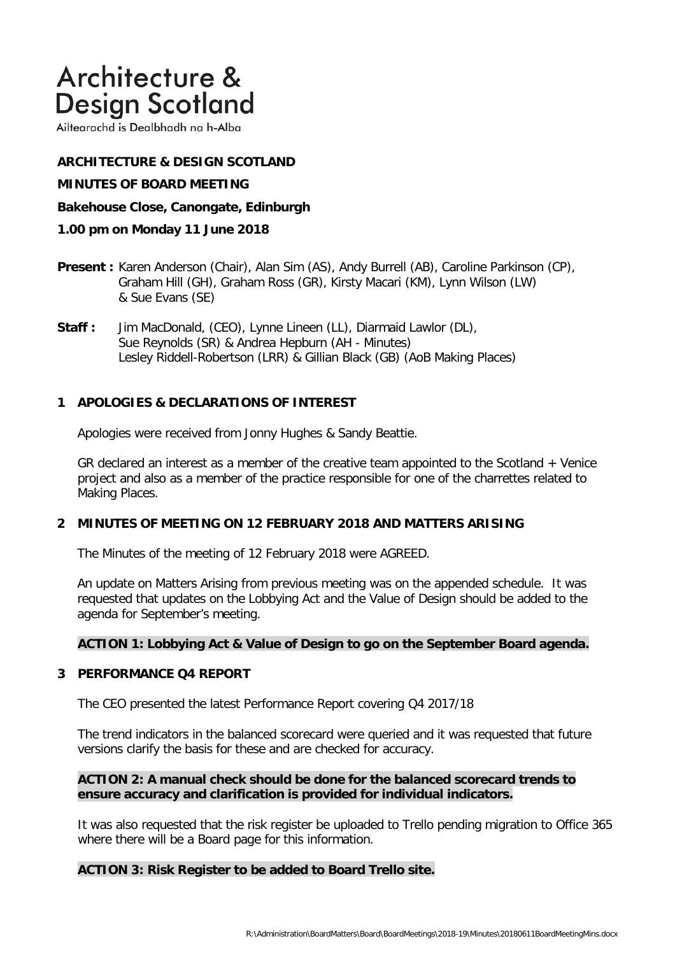# Architecture & **Design Scotland**

Ailtearachd is Dealbhadh na h-Alba

# **ARCHITECTURE & DESIGN SCOTLAND**

# **MINUTES OF BOARD MEETING**

**Bakehouse Close, Canongate, Edinburgh**

# **1.00 pm on Monday 11 June 2018**

- **Present :** Karen Anderson (Chair), Alan Sim (AS), Andy Burrell (AB), Caroline Parkinson (CP), Graham Hill (GH), Graham Ross (GR), Kirsty Macari (KM), Lynn Wilson (LW) & Sue Evans (SE)
- **Staff :** Jim MacDonald, (CEO), Lynne Lineen (LL), Diarmaid Lawlor (DL), Sue Reynolds (SR) & Andrea Hepburn (AH - Minutes) Lesley Riddell-Robertson (LRR) & Gillian Black (GB) (AoB Making Places)

# **1 APOLOGIES & DECLARATIONS OF INTEREST**

Apologies were received from Jonny Hughes & Sandy Beattie.

GR declared an interest as a member of the creative team appointed to the Scotland  $+$  Venice project and also as a member of the practice responsible for one of the charrettes related to Making Places.

# **2 MINUTES OF MEETING ON 12 FEBRUARY 2018 AND MATTERS ARISING**

The Minutes of the meeting of 12 February 2018 were AGREED.

An update on Matters Arising from previous meeting was on the appended schedule. It was requested that updates on the Lobbying Act and the Value of Design should be added to the agenda for September's meeting.

# **ACTION 1: Lobbying Act & Value of Design to go on the September Board agenda.**

#### **3 PERFORMANCE Q4 REPORT**

The CEO presented the latest Performance Report covering Q4 2017/18

The trend indicators in the balanced scorecard were queried and it was requested that future versions clarify the basis for these and are checked for accuracy.

## **ACTION 2: A manual check should be done for the balanced scorecard trends to ensure accuracy and clarification is provided for individual indicators.**

It was also requested that the risk register be uploaded to Trello pending migration to Office 365 where there will be a Board page for this information.

# **ACTION 3: Risk Register to be added to Board Trello site.**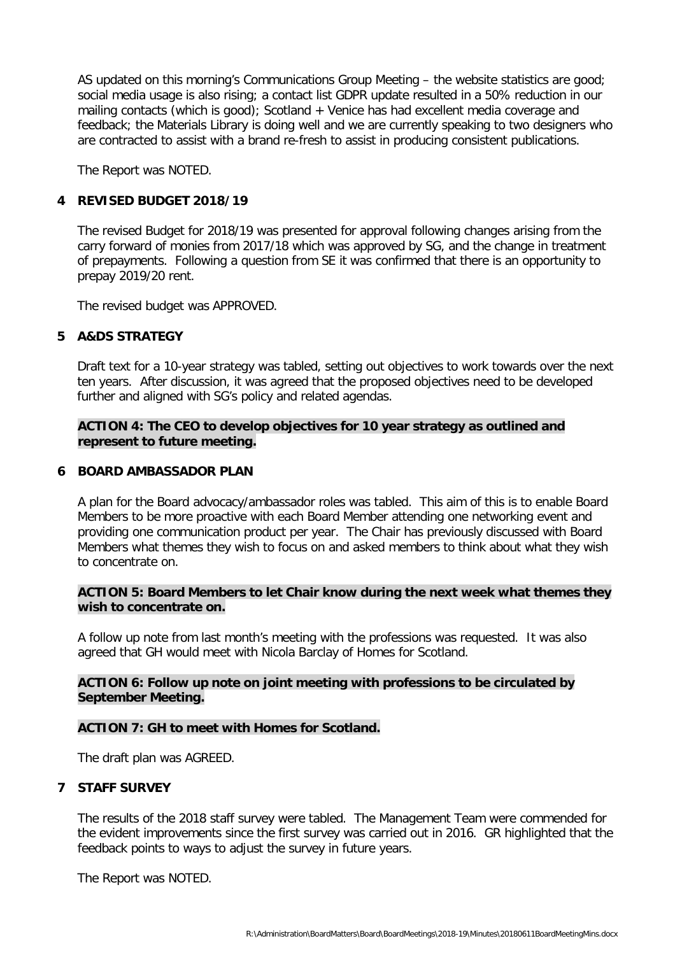AS updated on this morning's Communications Group Meeting – the website statistics are good; social media usage is also rising; a contact list GDPR update resulted in a 50% reduction in our mailing contacts (which is good); Scotland + Venice has had excellent media coverage and feedback; the Materials Library is doing well and we are currently speaking to two designers who are contracted to assist with a brand re-fresh to assist in producing consistent publications.

The Report was NOTED.

# **4 REVISED BUDGET 2018/19**

The revised Budget for 2018/19 was presented for approval following changes arising from the carry forward of monies from 2017/18 which was approved by SG, and the change in treatment of prepayments. Following a question from SE it was confirmed that there is an opportunity to prepay 2019/20 rent.

The revised budget was APPROVED.

# **5 A&DS STRATEGY**

Draft text for a 10-year strategy was tabled, setting out objectives to work towards over the next ten years. After discussion, it was agreed that the proposed objectives need to be developed further and aligned with SG's policy and related agendas.

# **ACTION 4: The CEO to develop objectives for 10 year strategy as outlined and represent to future meeting.**

#### **6 BOARD AMBASSADOR PLAN**

 A plan for the Board advocacy/ambassador roles was tabled. This aim of this is to enable Board Members to be more proactive with each Board Member attending one networking event and providing one communication product per year. The Chair has previously discussed with Board Members what themes they wish to focus on and asked members to think about what they wish to concentrate on.

# **ACTION 5: Board Members to let Chair know during the next week what themes they wish to concentrate on.**

 A follow up note from last month's meeting with the professions was requested. It was also agreed that GH would meet with Nicola Barclay of Homes for Scotland.

# **ACTION 6: Follow up note on joint meeting with professions to be circulated by September Meeting.**

#### **ACTION 7: GH to meet with Homes for Scotland.**

The draft plan was AGREED.

#### **7 STAFF SURVEY**

The results of the 2018 staff survey were tabled. The Management Team were commended for the evident improvements since the first survey was carried out in 2016. GR highlighted that the feedback points to ways to adjust the survey in future years.

The Report was NOTED.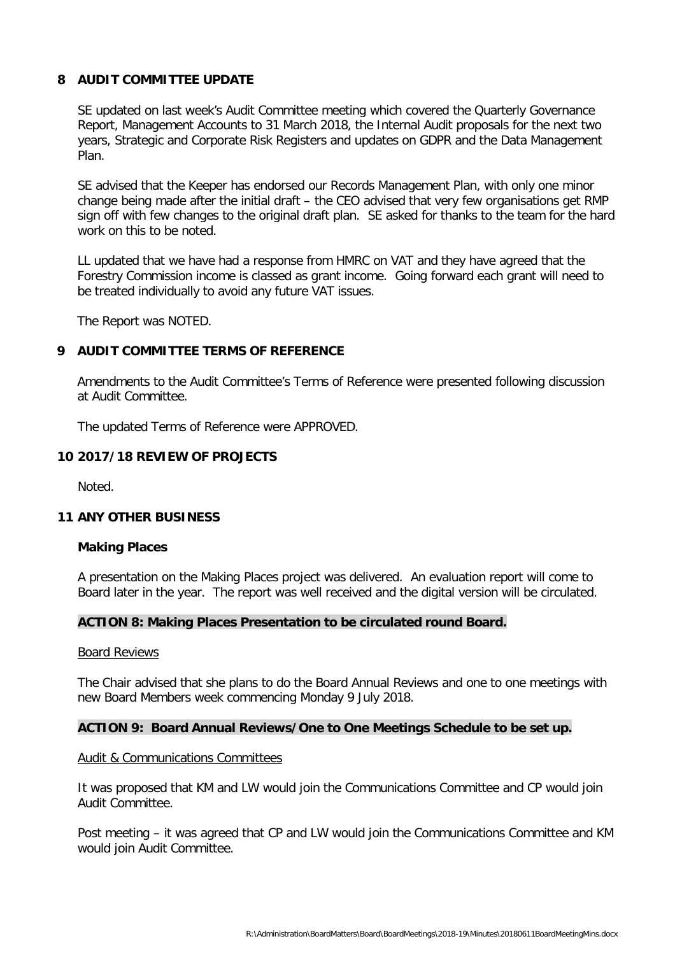# **8 AUDIT COMMITTEE UPDATE**

SE updated on last week's Audit Committee meeting which covered the Quarterly Governance Report, Management Accounts to 31 March 2018, the Internal Audit proposals for the next two years, Strategic and Corporate Risk Registers and updates on GDPR and the Data Management Plan.

SE advised that the Keeper has endorsed our Records Management Plan, with only one minor change being made after the initial draft – the CEO advised that very few organisations get RMP sign off with few changes to the original draft plan. SE asked for thanks to the team for the hard work on this to be noted.

LL updated that we have had a response from HMRC on VAT and they have agreed that the Forestry Commission income is classed as grant income. Going forward each grant will need to be treated individually to avoid any future VAT issues.

The Report was NOTED.

# **9 AUDIT COMMITTEE TERMS OF REFERENCE**

Amendments to the Audit Committee's Terms of Reference were presented following discussion at Audit Committee.

The updated Terms of Reference were APPROVED.

# **10 2017/18 REVIEW OF PROJECTS**

Noted.

#### **11 ANY OTHER BUSINESS**

#### **Making Places**

A presentation on the Making Places project was delivered. An evaluation report will come to Board later in the year. The report was well received and the digital version will be circulated.

#### **ACTION 8: Making Places Presentation to be circulated round Board.**

#### Board Reviews

The Chair advised that she plans to do the Board Annual Reviews and one to one meetings with new Board Members week commencing Monday 9 July 2018.

## **ACTION 9: Board Annual Reviews/One to One Meetings Schedule to be set up.**

#### Audit & Communications Committees

It was proposed that KM and LW would join the Communications Committee and CP would join Audit Committee.

Post meeting – it was agreed that CP and LW would join the Communications Committee and KM would join Audit Committee.